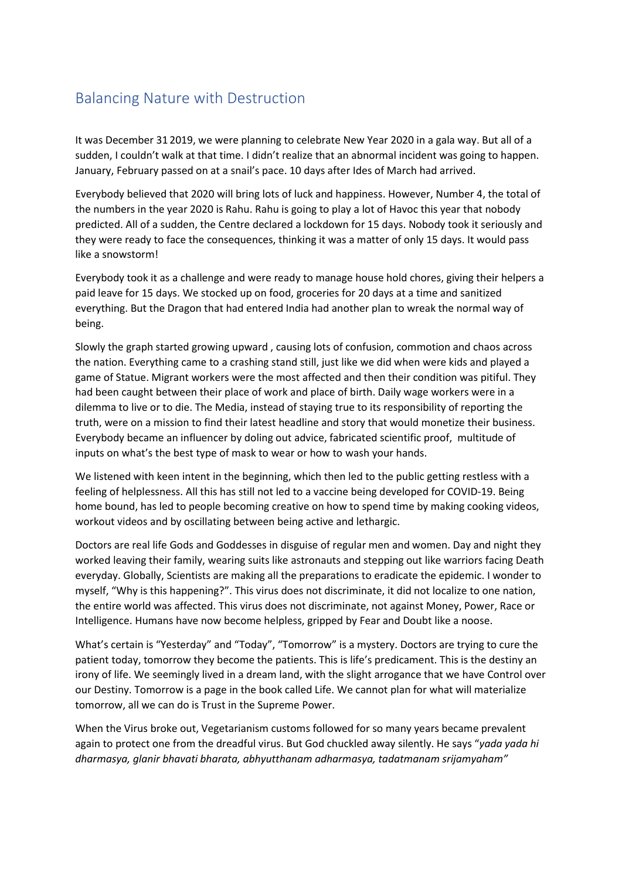## Balancing Nature with Destruction

It was December 31 2019, we were planning to celebrate New Year 2020 in a gala way. But all of a sudden, I couldn't walk at that time. I didn't realize that an abnormal incident was going to happen. January, February passed on at a snail's pace. 10 days after Ides of March had arrived.

Everybody believed that 2020 will bring lots of luck and happiness. However, Number 4, the total of the numbers in the year 2020 is Rahu. Rahu is going to play a lot of Havoc this year that nobody predicted. All of a sudden, the Centre declared a lockdown for 15 days. Nobody took it seriously and they were ready to face the consequences, thinking it was a matter of only 15 days. It would pass like a snowstorm!

Everybody took it as a challenge and were ready to manage house hold chores, giving their helpers a paid leave for 15 days. We stocked up on food, groceries for 20 days at a time and sanitized everything. But the Dragon that had entered India had another plan to wreak the normal way of being.

Slowly the graph started growing upward , causing lots of confusion, commotion and chaos across the nation. Everything came to a crashing stand still, just like we did when were kids and played a game of Statue. Migrant workers were the most affected and then their condition was pitiful. They had been caught between their place of work and place of birth. Daily wage workers were in a dilemma to live or to die. The Media, instead of staying true to its responsibility of reporting the truth, were on a mission to find their latest headline and story that would monetize their business. Everybody became an influencer by doling out advice, fabricated scientific proof, multitude of inputs on what's the best type of mask to wear or how to wash your hands.

We listened with keen intent in the beginning, which then led to the public getting restless with a feeling of helplessness. All this has still not led to a vaccine being developed for COVID-19. Being home bound, has led to people becoming creative on how to spend time by making cooking videos, workout videos and by oscillating between being active and lethargic.

Doctors are real life Gods and Goddesses in disguise of regular men and women. Day and night they worked leaving their family, wearing suits like astronauts and stepping out like warriors facing Death everyday. Globally, Scientists are making all the preparations to eradicate the epidemic. I wonder to myself, "Why is this happening?". This virus does not discriminate, it did not localize to one nation, the entire world was affected. This virus does not discriminate, not against Money, Power, Race or Intelligence. Humans have now become helpless, gripped by Fear and Doubt like a noose.

What's certain is "Yesterday" and "Today", "Tomorrow" is a mystery. Doctors are trying to cure the patient today, tomorrow they become the patients. This is life's predicament. This is the destiny an irony of life. We seemingly lived in a dream land, with the slight arrogance that we have Control over our Destiny. Tomorrow is a page in the book called Life. We cannot plan for what will materialize tomorrow, all we can do is Trust in the Supreme Power.

When the Virus broke out, Vegetarianism customs followed for so many years became prevalent again to protect one from the dreadful virus. But God chuckled away silently. He says "*yada yada hi dharmasya, glanir bhavati bharata, abhyutthanam adharmasya, tadatmanam srijamyaham"*